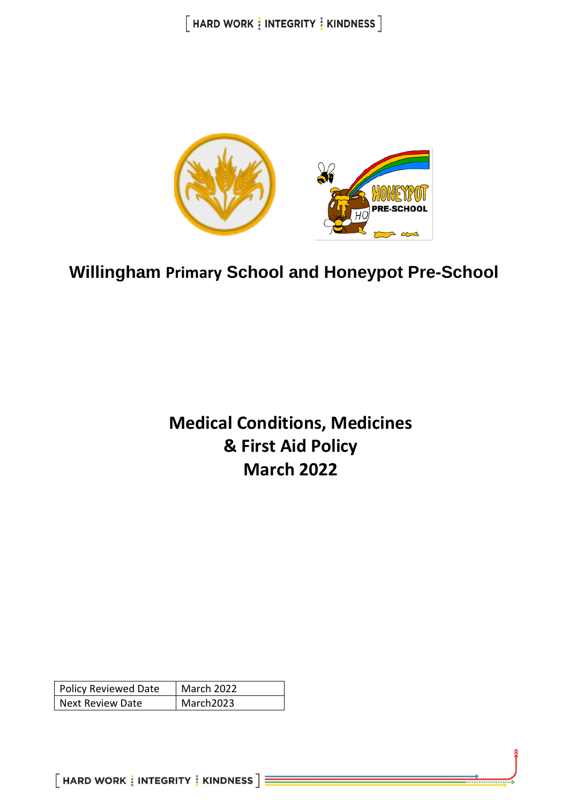$[$  HARD WORK  $\frac{1}{2}$  INTEGRITY  $\frac{1}{2}$  KINDNESS  $]$ 



**Willingham Primary School and Honeypot Pre-School**

# **Medical Conditions, Medicines & First Aid Policy March 2022**

| <b>Policy Reviewed Date</b> | <b>March 2022</b> |
|-----------------------------|-------------------|
| Next Review Date            | March2023         |

 $[$  HARD WORK  $\frac{1}{3}$  INTEGRITY  $\frac{1}{3}$  KINDNESS  $]\equiv$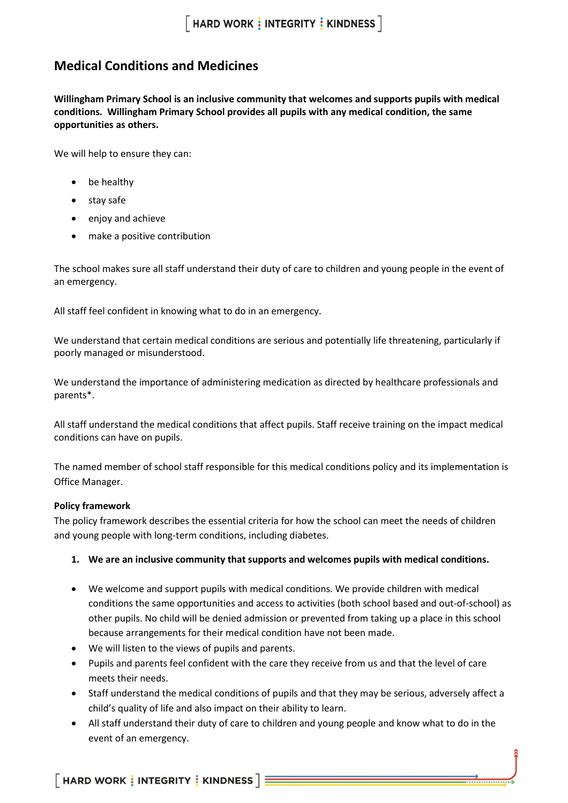### **Medical Conditions and Medicines**

**Willingham Primary School is an inclusive community that welcomes and supports pupils with medical conditions. Willingham Primary School provides all pupils with any medical condition, the same opportunities as others.**

We will help to ensure they can:

- be healthy
- stay safe
- enjoy and achieve
- make a positive contribution

The school makes sure all staff understand their duty of care to children and young people in the event of an emergency.

All staff feel confident in knowing what to do in an emergency.

We understand that certain medical conditions are serious and potentially life threatening, particularly if poorly managed or misunderstood.

We understand the importance of administering medication as directed by healthcare professionals and parents\*.

All staff understand the medical conditions that affect pupils. Staff receive training on the impact medical conditions can have on pupils.

The named member of school staff responsible for this medical conditions policy and its implementation is Office Manager.

#### **Policy framework**

The policy framework describes the essential criteria for how the school can meet the needs of children and young people with long-term conditions, including diabetes.

- **1. We are an inclusive community that supports and welcomes pupils with medical conditions.**
- We welcome and support pupils with medical conditions. We provide children with medical conditions the same opportunities and access to activities (both school based and out-of-school) as other pupils. No child will be denied admission or prevented from taking up a place in this school because arrangements for their medical condition have not been made.
- We will listen to the views of pupils and parents.
- Pupils and parents feel confident with the care they receive from us and that the level of care meets their needs.
- Staff understand the medical conditions of pupils and that they may be serious, adversely affect a child's quality of life and also impact on their ability to learn.
- All staff understand their duty of care to children and young people and know what to do in the event of an emergency.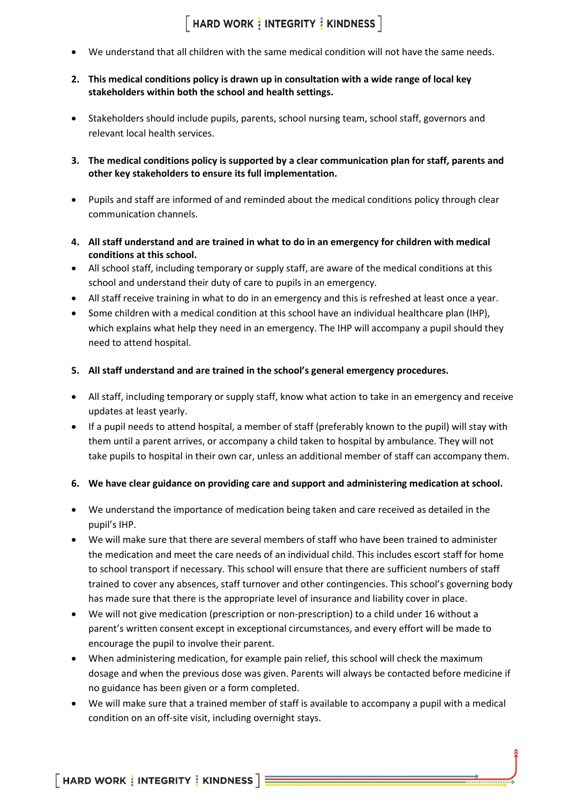### $\lceil$  HARD WORK  $\frac{1}{2}$  INTEGRITY  $\frac{1}{2}$  KINDNESS  $\rceil$

- We understand that all children with the same medical condition will not have the same needs.
- **2. This medical conditions policy is drawn up in consultation with a wide range of local key stakeholders within both the school and health settings.**
- Stakeholders should include pupils, parents, school nursing team, school staff, governors and relevant local health services.
- **3. The medical conditions policy is supported by a clear communication plan for staff, parents and other key stakeholders to ensure its full implementation.**
- Pupils and staff are informed of and reminded about the medical conditions policy through clear communication channels.
- **4. All staff understand and are trained in what to do in an emergency for children with medical conditions at this school.**
- All school staff, including temporary or supply staff, are aware of the medical conditions at this school and understand their duty of care to pupils in an emergency.
- All staff receive training in what to do in an emergency and this is refreshed at least once a year.
- Some children with a medical condition at this school have an individual healthcare plan (IHP), which explains what help they need in an emergency. The IHP will accompany a pupil should they need to attend hospital.
- **5. All staff understand and are trained in the school's general emergency procedures.**
- All staff, including temporary or supply staff, know what action to take in an emergency and receive updates at least yearly.
- If a pupil needs to attend hospital, a member of staff (preferably known to the pupil) will stay with them until a parent arrives, or accompany a child taken to hospital by ambulance. They will not take pupils to hospital in their own car, unless an additional member of staff can accompany them.

### **6. We have clear guidance on providing care and support and administering medication at school.**

- We understand the importance of medication being taken and care received as detailed in the pupil's IHP.
- We will make sure that there are several members of staff who have been trained to administer the medication and meet the care needs of an individual child. This includes escort staff for home to school transport if necessary. This school will ensure that there are sufficient numbers of staff trained to cover any absences, staff turnover and other contingencies. This school's governing body has made sure that there is the appropriate level of insurance and liability cover in place.
- We will not give medication (prescription or non-prescription) to a child under 16 without a parent's written consent except in exceptional circumstances, and every effort will be made to encourage the pupil to involve their parent.
- When administering medication, for example pain relief, this school will check the maximum dosage and when the previous dose was given. Parents will always be contacted before medicine if no guidance has been given or a form completed.
- We will make sure that a trained member of staff is available to accompany a pupil with a medical condition on an off-site visit, including overnight stays.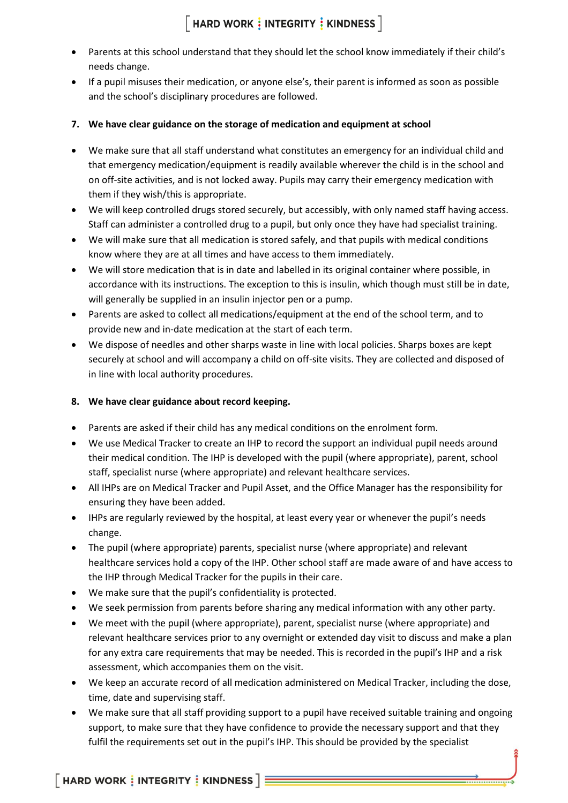## $\lceil$  HARD WORK  $\frac{1}{3}$  INTEGRITY  $\frac{1}{3}$  KINDNESS  $\rceil$

- Parents at this school understand that they should let the school know immediately if their child's needs change.
- If a pupil misuses their medication, or anyone else's, their parent is informed as soon as possible and the school's disciplinary procedures are followed.
- **7. We have clear guidance on the storage of medication and equipment at school**
- We make sure that all staff understand what constitutes an emergency for an individual child and that emergency medication/equipment is readily available wherever the child is in the school and on off-site activities, and is not locked away. Pupils may carry their emergency medication with them if they wish/this is appropriate.
- We will keep controlled drugs stored securely, but accessibly, with only named staff having access. Staff can administer a controlled drug to a pupil, but only once they have had specialist training.
- We will make sure that all medication is stored safely, and that pupils with medical conditions know where they are at all times and have access to them immediately.
- We will store medication that is in date and labelled in its original container where possible, in accordance with its instructions. The exception to this is insulin, which though must still be in date, will generally be supplied in an insulin injector pen or a pump.
- Parents are asked to collect all medications/equipment at the end of the school term, and to provide new and in-date medication at the start of each term.
- We dispose of needles and other sharps waste in line with local policies. Sharps boxes are kept securely at school and will accompany a child on off-site visits. They are collected and disposed of in line with local authority procedures.
- **8. We have clear guidance about record keeping.**
- Parents are asked if their child has any medical conditions on the enrolment form.
- We use Medical Tracker to create an IHP to record the support an individual pupil needs around their medical condition. The IHP is developed with the pupil (where appropriate), parent, school staff, specialist nurse (where appropriate) and relevant healthcare services.
- All IHPs are on Medical Tracker and Pupil Asset, and the Office Manager has the responsibility for ensuring they have been added.
- IHPs are regularly reviewed by the hospital, at least every year or whenever the pupil's needs change.
- The pupil (where appropriate) parents, specialist nurse (where appropriate) and relevant healthcare services hold a copy of the IHP. Other school staff are made aware of and have access to the IHP through Medical Tracker for the pupils in their care.
- We make sure that the pupil's confidentiality is protected.
- We seek permission from parents before sharing any medical information with any other party.
- We meet with the pupil (where appropriate), parent, specialist nurse (where appropriate) and relevant healthcare services prior to any overnight or extended day visit to discuss and make a plan for any extra care requirements that may be needed. This is recorded in the pupil's IHP and a risk assessment, which accompanies them on the visit.
- We keep an accurate record of all medication administered on Medical Tracker, including the dose, time, date and supervising staff.
- We make sure that all staff providing support to a pupil have received suitable training and ongoing support, to make sure that they have confidence to provide the necessary support and that they fulfil the requirements set out in the pupil's IHP. This should be provided by the specialist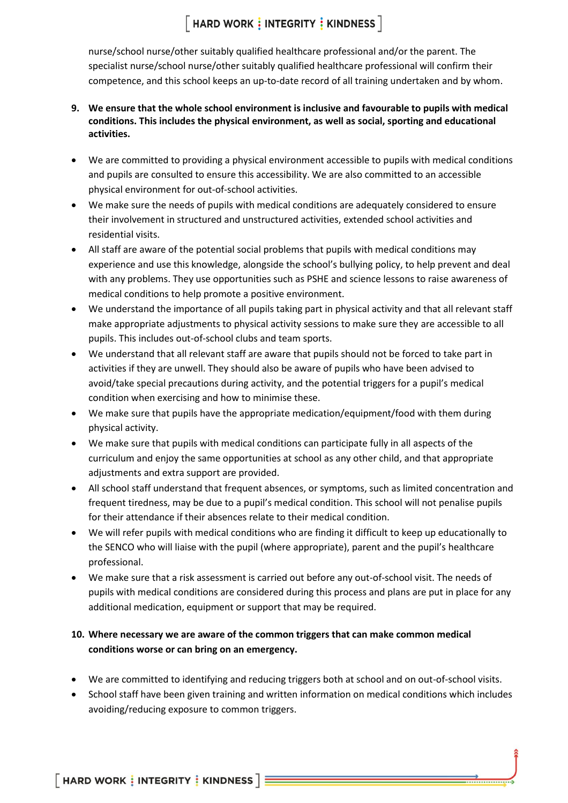## $\lceil$  HARD WORK  $\frac{1}{3}$  INTEGRITY  $\frac{1}{3}$  KINDNESS  $\rceil$

nurse/school nurse/other suitably qualified healthcare professional and/or the parent. The specialist nurse/school nurse/other suitably qualified healthcare professional will confirm their competence, and this school keeps an up-to-date record of all training undertaken and by whom.

- **9. We ensure that the whole school environment is inclusive and favourable to pupils with medical conditions. This includes the physical environment, as well as social, sporting and educational activities.**
- We are committed to providing a physical environment accessible to pupils with medical conditions and pupils are consulted to ensure this accessibility. We are also committed to an accessible physical environment for out-of-school activities.
- We make sure the needs of pupils with medical conditions are adequately considered to ensure their involvement in structured and unstructured activities, extended school activities and residential visits.
- All staff are aware of the potential social problems that pupils with medical conditions may experience and use this knowledge, alongside the school's bullying policy, to help prevent and deal with any problems. They use opportunities such as PSHE and science lessons to raise awareness of medical conditions to help promote a positive environment.
- We understand the importance of all pupils taking part in physical activity and that all relevant staff make appropriate adjustments to physical activity sessions to make sure they are accessible to all pupils. This includes out-of-school clubs and team sports.
- We understand that all relevant staff are aware that pupils should not be forced to take part in activities if they are unwell. They should also be aware of pupils who have been advised to avoid/take special precautions during activity, and the potential triggers for a pupil's medical condition when exercising and how to minimise these.
- We make sure that pupils have the appropriate medication/equipment/food with them during physical activity.
- We make sure that pupils with medical conditions can participate fully in all aspects of the curriculum and enjoy the same opportunities at school as any other child, and that appropriate adjustments and extra support are provided.
- All school staff understand that frequent absences, or symptoms, such as limited concentration and frequent tiredness, may be due to a pupil's medical condition. This school will not penalise pupils for their attendance if their absences relate to their medical condition.
- We will refer pupils with medical conditions who are finding it difficult to keep up educationally to the SENCO who will liaise with the pupil (where appropriate), parent and the pupil's healthcare professional.
- We make sure that a risk assessment is carried out before any out-of-school visit. The needs of pupils with medical conditions are considered during this process and plans are put in place for any additional medication, equipment or support that may be required.

### **10. Where necessary we are aware of the common triggers that can make common medical conditions worse or can bring on an emergency.**

- We are committed to identifying and reducing triggers both at school and on out-of-school visits.
- School staff have been given training and written information on medical conditions which includes avoiding/reducing exposure to common triggers.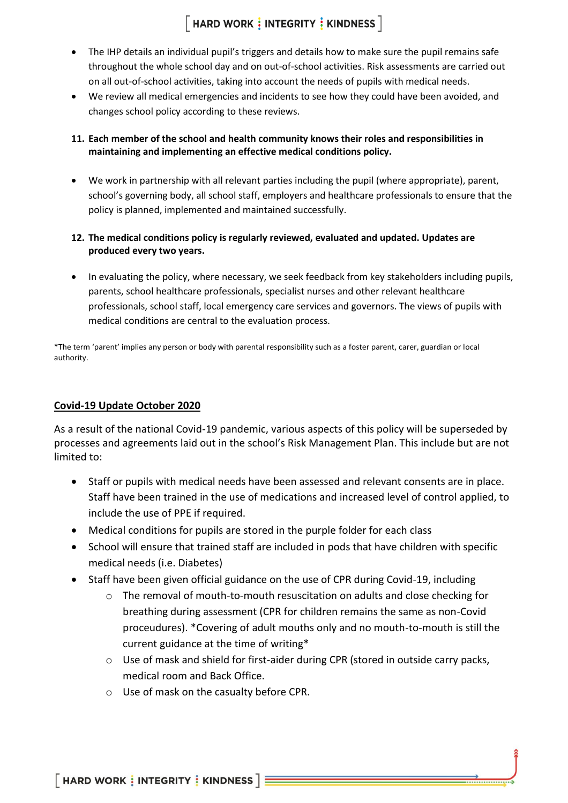### $\lceil$  HARD WORK  $\frac{1}{3}$  INTEGRITY  $\frac{1}{3}$  KINDNESS  $\rceil$

- The IHP details an individual pupil's triggers and details how to make sure the pupil remains safe throughout the whole school day and on out-of-school activities. Risk assessments are carried out on all out-of-school activities, taking into account the needs of pupils with medical needs.
- We review all medical emergencies and incidents to see how they could have been avoided, and changes school policy according to these reviews.
- **11. Each member of the school and health community knows their roles and responsibilities in maintaining and implementing an effective medical conditions policy.**
- We work in partnership with all relevant parties including the pupil (where appropriate), parent, school's governing body, all school staff, employers and healthcare professionals to ensure that the policy is planned, implemented and maintained successfully.
- **12. The medical conditions policy is regularly reviewed, evaluated and updated. Updates are produced every two years.**
- In evaluating the policy, where necessary, we seek feedback from key stakeholders including pupils, parents, school healthcare professionals, specialist nurses and other relevant healthcare professionals, school staff, local emergency care services and governors. The views of pupils with medical conditions are central to the evaluation process.

\*The term 'parent' implies any person or body with parental responsibility such as a foster parent, carer, guardian or local authority.

### **Covid-19 Update October 2020**

As a result of the national Covid-19 pandemic, various aspects of this policy will be superseded by processes and agreements laid out in the school's Risk Management Plan. This include but are not limited to:

- Staff or pupils with medical needs have been assessed and relevant consents are in place. Staff have been trained in the use of medications and increased level of control applied, to include the use of PPE if required.
- Medical conditions for pupils are stored in the purple folder for each class
- School will ensure that trained staff are included in pods that have children with specific medical needs (i.e. Diabetes)
- Staff have been given official guidance on the use of CPR during Covid-19, including
	- o The removal of mouth-to-mouth resuscitation on adults and close checking for breathing during assessment (CPR for children remains the same as non-Covid proceudures). \*Covering of adult mouths only and no mouth-to-mouth is still the current guidance at the time of writing\*
	- $\circ$  Use of mask and shield for first-aider during CPR (stored in outside carry packs, medical room and Back Office.
	- o Use of mask on the casualty before CPR.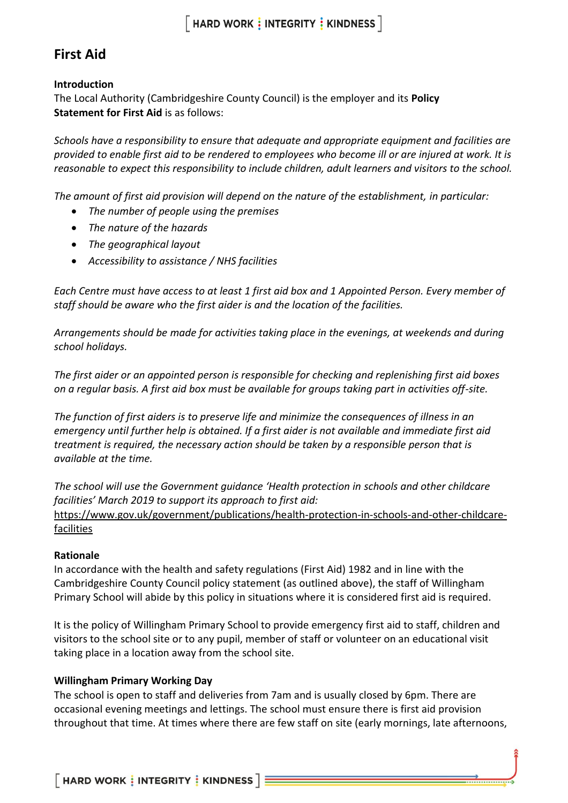### **First Aid**

### **Introduction**

The Local Authority (Cambridgeshire County Council) is the employer and its **Policy Statement for First Aid is as follows:** 

*Schools have a responsibility to ensure that adequate and appropriate equipment and facilities are provided to enable first aid to be rendered to employees who become ill or are injured at work. It is reasonable to expect this responsibility to include children, adult learners and visitors to the school.*

*The amount of first aid provision will depend on the nature of the establishment, in particular:*

- *The number of people using the premises*
- *The nature of the hazards*
- *The geographical layout*
- *Accessibility to assistance / NHS facilities*

*Each Centre must have access to at least 1 first aid box and 1 Appointed Person. Every member of staff should be aware who the first aider is and the location of the facilities.*

*Arrangements should be made for activities taking place in the evenings, at weekends and during school holidays.*

*The first aider or an appointed person is responsible for checking and replenishing first aid boxes on a regular basis. A first aid box must be available for groups taking part in activities off-site.*

*The function of first aiders is to preserve life and minimize the consequences of illness in an emergency until further help is obtained. If a first aider is not available and immediate first aid treatment is required, the necessary action should be taken by a responsible person that is available at the time.*

*The school will use the Government guidance 'Health protection in schools and other childcare facilities' March 2019 to support its approach to first aid:*

[https://www.gov.uk/government/publications/health-protection-in-schools-and-other-childcare](https://www.gov.uk/government/publications/health-protection-in-schools-and-other-childcare-facilities)[facilities](https://www.gov.uk/government/publications/health-protection-in-schools-and-other-childcare-facilities)

### **Rationale**

In accordance with the health and safety regulations (First Aid) 1982 and in line with the Cambridgeshire County Council policy statement (as outlined above), the staff of Willingham Primary School will abide by this policy in situations where it is considered first aid is required.

It is the policy of Willingham Primary School to provide emergency first aid to staff, children and visitors to the school site or to any pupil, member of staff or volunteer on an educational visit taking place in a location away from the school site.

### **Willingham Primary Working Day**

The school is open to staff and deliveries from 7am and is usually closed by 6pm. There are occasional evening meetings and lettings. The school must ensure there is first aid provision throughout that time. At times where there are few staff on site (early mornings, late afternoons,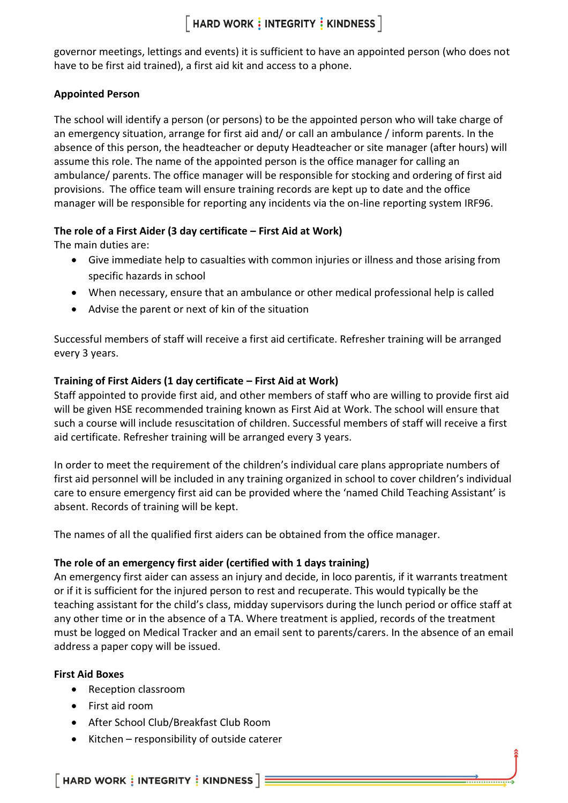## $[$  HARD WORK  $\frac{1}{2}$  INTEGRITY  $\frac{1}{2}$  KINDNESS  $]$

governor meetings, lettings and events) it is sufficient to have an appointed person (who does not have to be first aid trained), a first aid kit and access to a phone.

### **Appointed Person**

The school will identify a person (or persons) to be the appointed person who will take charge of an emergency situation, arrange for first aid and/ or call an ambulance / inform parents. In the absence of this person, the headteacher or deputy Headteacher or site manager (after hours) will assume this role. The name of the appointed person is the office manager for calling an ambulance/ parents. The office manager will be responsible for stocking and ordering of first aid provisions. The office team will ensure training records are kept up to date and the office manager will be responsible for reporting any incidents via the on-line reporting system IRF96.

### **The role of a First Aider (3 day certificate – First Aid at Work)**

The main duties are:

- Give immediate help to casualties with common injuries or illness and those arising from specific hazards in school
- When necessary, ensure that an ambulance or other medical professional help is called
- Advise the parent or next of kin of the situation

Successful members of staff will receive a first aid certificate. Refresher training will be arranged every 3 years.

### **Training of First Aiders (1 day certificate – First Aid at Work)**

Staff appointed to provide first aid, and other members of staff who are willing to provide first aid will be given HSE recommended training known as First Aid at Work. The school will ensure that such a course will include resuscitation of children. Successful members of staff will receive a first aid certificate. Refresher training will be arranged every 3 years.

In order to meet the requirement of the children's individual care plans appropriate numbers of first aid personnel will be included in any training organized in school to cover children's individual care to ensure emergency first aid can be provided where the 'named Child Teaching Assistant' is absent. Records of training will be kept.

The names of all the qualified first aiders can be obtained from the office manager.

### **The role of an emergency first aider (certified with 1 days training)**

An emergency first aider can assess an injury and decide, in loco parentis, if it warrants treatment or if it is sufficient for the injured person to rest and recuperate. This would typically be the teaching assistant for the child's class, midday supervisors during the lunch period or office staff at any other time or in the absence of a TA. Where treatment is applied, records of the treatment must be logged on Medical Tracker and an email sent to parents/carers. In the absence of an email address a paper copy will be issued.

### **First Aid Boxes**

- Reception classroom
- First aid room
- After School Club/Breakfast Club Room
- Kitchen responsibility of outside caterer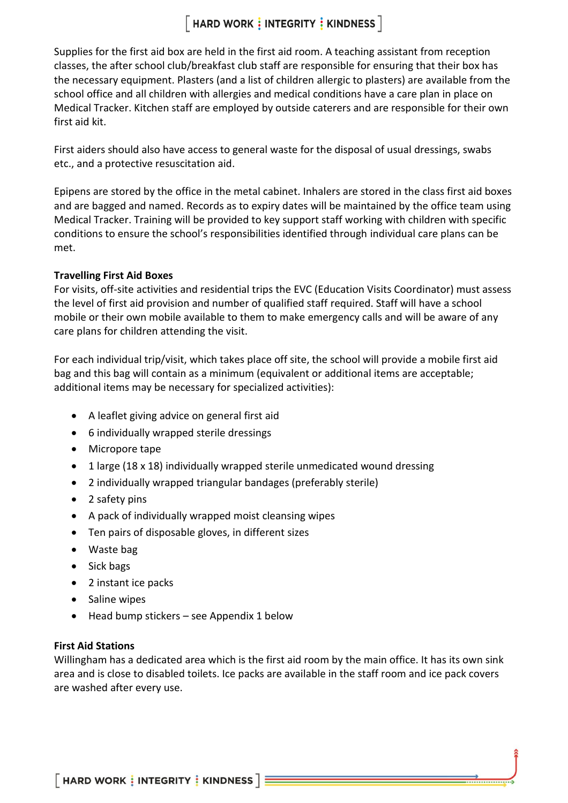## $[$  HARD WORK  $\frac{1}{2}$  INTEGRITY  $\frac{1}{2}$  KINDNESS  $\overline{\phantom{a}}$

Supplies for the first aid box are held in the first aid room. A teaching assistant from reception classes, the after school club/breakfast club staff are responsible for ensuring that their box has the necessary equipment. Plasters (and a list of children allergic to plasters) are available from the school office and all children with allergies and medical conditions have a care plan in place on Medical Tracker. Kitchen staff are employed by outside caterers and are responsible for their own first aid kit.

First aiders should also have access to general waste for the disposal of usual dressings, swabs etc., and a protective resuscitation aid.

Epipens are stored by the office in the metal cabinet. Inhalers are stored in the class first aid boxes and are bagged and named. Records as to expiry dates will be maintained by the office team using Medical Tracker. Training will be provided to key support staff working with children with specific conditions to ensure the school's responsibilities identified through individual care plans can be met.

### **Travelling First Aid Boxes**

For visits, off-site activities and residential trips the EVC (Education Visits Coordinator) must assess the level of first aid provision and number of qualified staff required. Staff will have a school mobile or their own mobile available to them to make emergency calls and will be aware of any care plans for children attending the visit.

For each individual trip/visit, which takes place off site, the school will provide a mobile first aid bag and this bag will contain as a minimum (equivalent or additional items are acceptable; additional items may be necessary for specialized activities):

- A leaflet giving advice on general first aid
- 6 individually wrapped sterile dressings
- Micropore tape
- 1 large (18 x 18) individually wrapped sterile unmedicated wound dressing
- 2 individually wrapped triangular bandages (preferably sterile)
- 2 safety pins
- A pack of individually wrapped moist cleansing wipes
- Ten pairs of disposable gloves, in different sizes
- Waste bag
- Sick bags
- 2 instant ice packs
- Saline wipes
- Head bump stickers see Appendix 1 below

### **First Aid Stations**

Willingham has a dedicated area which is the first aid room by the main office. It has its own sink area and is close to disabled toilets. Ice packs are available in the staff room and ice pack covers are washed after every use.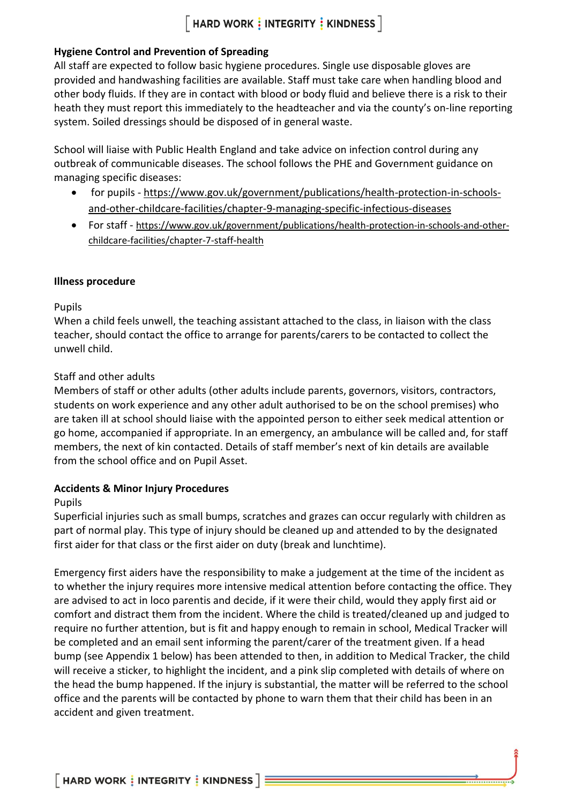### $[$  HARD WORK  $\frac{1}{3}$  INTEGRITY  $\frac{1}{3}$  KINDNESS  $]$

### **Hygiene Control and Prevention of Spreading**

All staff are expected to follow basic hygiene procedures. Single use disposable gloves are provided and handwashing facilities are available. Staff must take care when handling blood and other body fluids. If they are in contact with blood or body fluid and believe there is a risk to their heath they must report this immediately to the headteacher and via the county's on-line reporting system. Soiled dressings should be disposed of in general waste.

School will liaise with Public Health England and take advice on infection control during any outbreak of communicable diseases. The school follows the PHE and Government guidance on managing specific diseases:

- for pupils [https://www.gov.uk/government/publications/health-protection-in-schools](https://www.gov.uk/government/publications/health-protection-in-schools-and-other-childcare-facilities/chapter-9-managing-specific-infectious-diseases)[and-other-childcare-facilities/chapter-9-managing-specific-infectious-diseases](https://www.gov.uk/government/publications/health-protection-in-schools-and-other-childcare-facilities/chapter-9-managing-specific-infectious-diseases)
- For staff [https://www.gov.uk/government/publications/health-protection-in-schools-and-other](https://www.gov.uk/government/publications/health-protection-in-schools-and-other-childcare-facilities/chapter-7-staff-health)[childcare-facilities/chapter-7-staff-health](https://www.gov.uk/government/publications/health-protection-in-schools-and-other-childcare-facilities/chapter-7-staff-health)

### **Illness procedure**

### Pupils

When a child feels unwell, the teaching assistant attached to the class, in liaison with the class teacher, should contact the office to arrange for parents/carers to be contacted to collect the unwell child.

### Staff and other adults

Members of staff or other adults (other adults include parents, governors, visitors, contractors, students on work experience and any other adult authorised to be on the school premises) who are taken ill at school should liaise with the appointed person to either seek medical attention or go home, accompanied if appropriate. In an emergency, an ambulance will be called and, for staff members, the next of kin contacted. Details of staff member's next of kin details are available from the school office and on Pupil Asset.

### **Accidents & Minor Injury Procedures**

### Pupils

Superficial injuries such as small bumps, scratches and grazes can occur regularly with children as part of normal play. This type of injury should be cleaned up and attended to by the designated first aider for that class or the first aider on duty (break and lunchtime).

Emergency first aiders have the responsibility to make a judgement at the time of the incident as to whether the injury requires more intensive medical attention before contacting the office. They are advised to act in loco parentis and decide, if it were their child, would they apply first aid or comfort and distract them from the incident. Where the child is treated/cleaned up and judged to require no further attention, but is fit and happy enough to remain in school, Medical Tracker will be completed and an email sent informing the parent/carer of the treatment given. If a head bump (see Appendix 1 below) has been attended to then, in addition to Medical Tracker, the child will receive a sticker, to highlight the incident, and a pink slip completed with details of where on the head the bump happened. If the injury is substantial, the matter will be referred to the school office and the parents will be contacted by phone to warn them that their child has been in an accident and given treatment.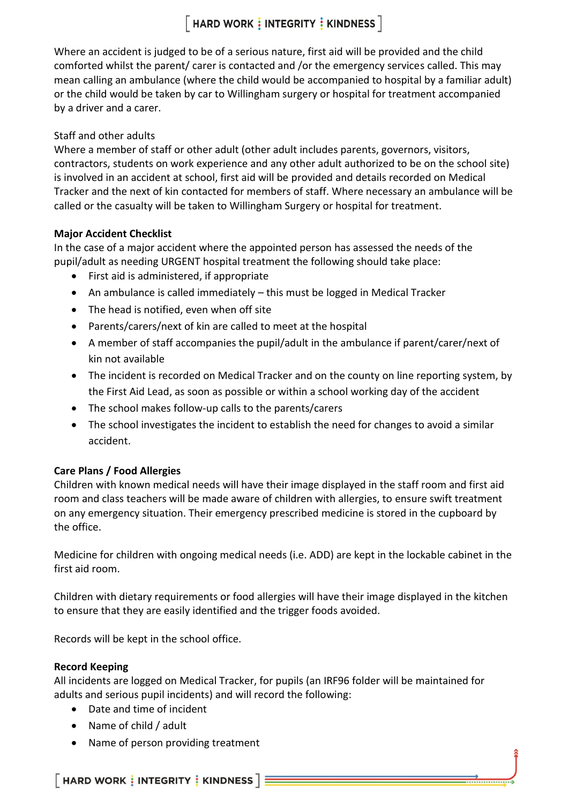### $[$  HARD WORK  $\frac{1}{3}$  INTEGRITY  $\frac{1}{3}$  KINDNESS  $]$

Where an accident is judged to be of a serious nature, first aid will be provided and the child comforted whilst the parent/ carer is contacted and /or the emergency services called. This may mean calling an ambulance (where the child would be accompanied to hospital by a familiar adult) or the child would be taken by car to Willingham surgery or hospital for treatment accompanied by a driver and a carer.

### Staff and other adults

Where a member of staff or other adult (other adult includes parents, governors, visitors, contractors, students on work experience and any other adult authorized to be on the school site) is involved in an accident at school, first aid will be provided and details recorded on Medical Tracker and the next of kin contacted for members of staff. Where necessary an ambulance will be called or the casualty will be taken to Willingham Surgery or hospital for treatment.

### **Major Accident Checklist**

In the case of a major accident where the appointed person has assessed the needs of the pupil/adult as needing URGENT hospital treatment the following should take place:

- First aid is administered, if appropriate
- An ambulance is called immediately this must be logged in Medical Tracker
- The head is notified, even when off site
- Parents/carers/next of kin are called to meet at the hospital
- A member of staff accompanies the pupil/adult in the ambulance if parent/carer/next of kin not available
- The incident is recorded on Medical Tracker and on the county on line reporting system, by the First Aid Lead, as soon as possible or within a school working day of the accident
- The school makes follow-up calls to the parents/carers
- The school investigates the incident to establish the need for changes to avoid a similar accident.

### **Care Plans / Food Allergies**

Children with known medical needs will have their image displayed in the staff room and first aid room and class teachers will be made aware of children with allergies, to ensure swift treatment on any emergency situation. Their emergency prescribed medicine is stored in the cupboard by the office.

Medicine for children with ongoing medical needs (i.e. ADD) are kept in the lockable cabinet in the first aid room.

Children with dietary requirements or food allergies will have their image displayed in the kitchen to ensure that they are easily identified and the trigger foods avoided.

Records will be kept in the school office.

### **Record Keeping**

All incidents are logged on Medical Tracker, for pupils (an IRF96 folder will be maintained for adults and serious pupil incidents) and will record the following:

- Date and time of incident
- Name of child / adult
- Name of person providing treatment

 $\lceil$  HARD WORK  $\frac{1}{3}$  INTEGRITY  $\frac{1}{3}$  KINDNESS  $\rceil$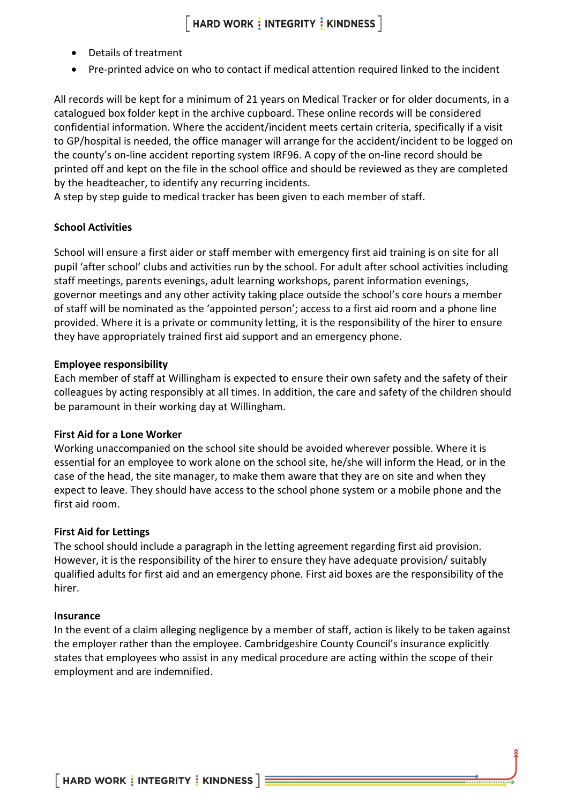- Details of treatment
- Pre-printed advice on who to contact if medical attention required linked to the incident

All records will be kept for a minimum of 21 years on Medical Tracker or for older documents, in a catalogued box folder kept in the archive cupboard. These online records will be considered confidential information. Where the accident/incident meets certain criteria, specifically if a visit to GP/hospital is needed, the office manager will arrange for the accident/incident to be logged on the county's on-line accident reporting system IRF96. A copy of the on-line record should be printed off and kept on the file in the school office and should be reviewed as they are completed by the headteacher, to identify any recurring incidents.

A step by step guide to medical tracker has been given to each member of staff.

### **School Activities**

School will ensure a first aider or staff member with emergency first aid training is on site for all pupil 'after school' clubs and activities run by the school. For adult after school activities including staff meetings, parents evenings, adult learning workshops, parent information evenings, governor meetings and any other activity taking place outside the school's core hours a member of staff will be nominated as the 'appointed person'; access to a first aid room and a phone line provided. Where it is a private or community letting, it is the responsibility of the hirer to ensure they have appropriately trained first aid support and an emergency phone.

### **Employee responsibility**

Each member of staff at Willingham is expected to ensure their own safety and the safety of their colleagues by acting responsibly at all times. In addition, the care and safety of the children should be paramount in their working day at Willingham.

### **First Aid for a Lone Worker**

Working unaccompanied on the school site should be avoided wherever possible. Where it is essential for an employee to work alone on the school site, he/she will inform the Head, or in the case of the head, the site manager, to make them aware that they are on site and when they expect to leave. They should have access to the school phone system or a mobile phone and the first aid room.

### **First Aid for Lettings**

The school should include a paragraph in the letting agreement regarding first aid provision. However, it is the responsibility of the hirer to ensure they have adequate provision/ suitably qualified adults for first aid and an emergency phone. First aid boxes are the responsibility of the hirer.

#### **Insurance**

In the event of a claim alleging negligence by a member of staff, action is likely to be taken against the employer rather than the employee. Cambridgeshire County Council's insurance explicitly states that employees who assist in any medical procedure are acting within the scope of their employment and are indemnified.